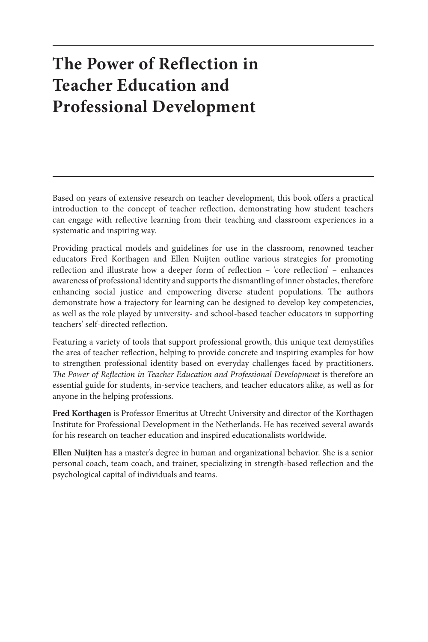### **The Power of Reflection in Teacher Education and Professional Development**

Based on years of extensive research on teacher development, this book offers a practical introduction to the concept of teacher reflection, demonstrating how student teachers can engage with reflective learning from their teaching and classroom experiences in a systematic and inspiring way.

Providing practical models and guidelines for use in the classroom, renowned teacher educators Fred Korthagen and Ellen Nuijten outline various strategies for promoting reflection and illustrate how a deeper form of reflection – 'core reflection' – enhances awareness of professional identity and supports the dismantling of inner obstacles, therefore enhancing social justice and empowering diverse student populations. The authors demonstrate how a trajectory for learning can be designed to develop key competencies, as well as the role played by university- and school-based teacher educators in supporting teachers' self-directed reflection.

Featuring a variety of tools that support professional growth, this unique text demystifies the area of teacher reflection, helping to provide concrete and inspiring examples for how to strengthen professional identity based on everyday challenges faced by practitioners. *The Power of Reflection in Teacher Education and Professional Development* is therefore an essential guide for students, in-service teachers, and teacher educators alike, as well as for anyone in the helping professions.

**Fred Korthagen** is Professor Emeritus at Utrecht University and director of the Korthagen Institute for Professional Development in the Netherlands. He has received several awards for his research on teacher education and inspired educationalists worldwide.

**Ellen Nuijten** has a master's degree in human and organizational behavior. She is a senior personal coach, team coach, and trainer, specializing in strength-based reflection and the psychological capital of individuals and teams.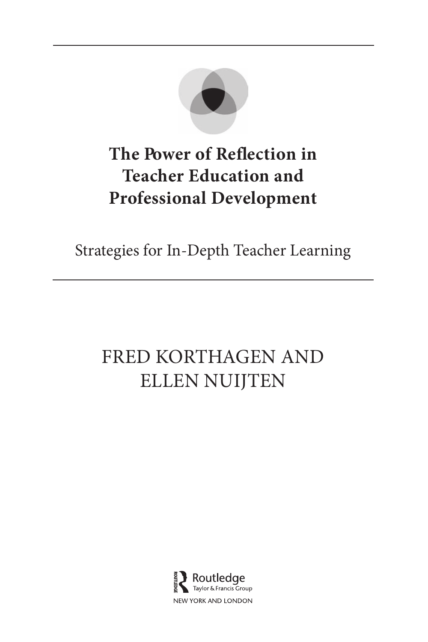

### **The Power of Reflection in Teacher Education and Professional Development**

Strategies for In-Depth Teacher Learning

# FRED KORTHAGEN AND ELLEN NUIJTEN

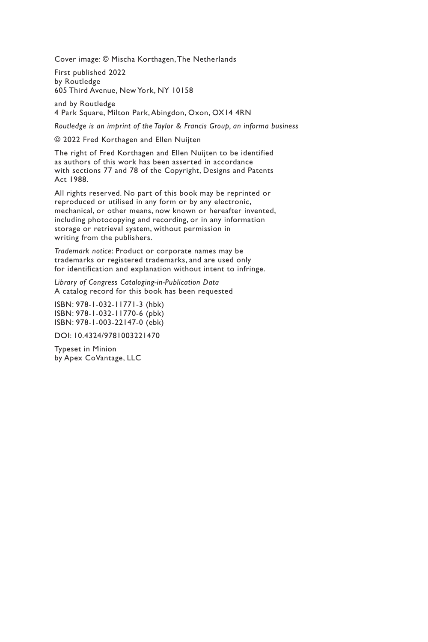Cover image: © Mischa Korthagen, The Netherlands

First published 2022 by Routledge 605 Third Avenue, New York, NY 10158

and by Routledge 4 Park Square, Milton Park, Abingdon, Oxon, OX14 4RN

*Routledge is an imprint of the Taylor & Francis Group, an informa business*

© 2022 Fred Korthagen and Ellen Nuijten

The right of Fred Korthagen and Ellen Nuijten to be identified as authors of this work has been asserted in accordance with sections 77 and 78 of the Copyright, Designs and Patents Act 1988.

All rights reserved. No part of this book may be reprinted or reproduced or utilised in any form or by any electronic, mechanical, or other means, now known or hereafter invented, including photocopying and recording, or in any information storage or retrieval system, without permission in writing from the publishers.

*Trademark notice*: Product or corporate names may be trademarks or registered trademarks, and are used only for identification and explanation without intent to infringe.

*Library of Congress Cataloging-in-Publication Data* A catalog record for this book has been requested

ISBN: 978-1-032-11771-3 (hbk) ISBN: 978-1-032-11770-6 (pbk) ISBN: 978-1-003-22147-0 (ebk)

DOI: 10.4324/9781003221470

Typeset in Minion by Apex CoVantage, LLC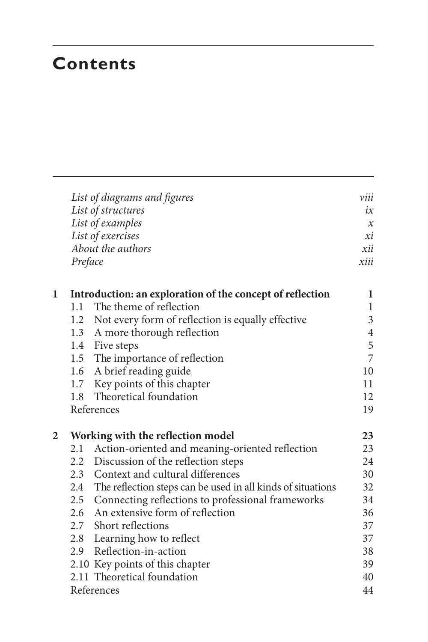### **Contents**

|              |         | List of diagrams and figures<br>List of structures<br>List of examples | viii<br>ix<br>$\boldsymbol{\chi}$ |
|--------------|---------|------------------------------------------------------------------------|-----------------------------------|
|              |         | List of exercises                                                      | хi                                |
|              |         | About the authors                                                      | xii                               |
|              | Preface |                                                                        | xiii                              |
| $\mathbf{1}$ |         | Introduction: an exploration of the concept of reflection              | 1                                 |
|              | 1.1     | The theme of reflection                                                | $\mathbf{1}$                      |
|              |         | 1.2 Not every form of reflection is equally effective                  | 3                                 |
|              |         | 1.3 A more thorough reflection                                         | $\overline{4}$                    |
|              |         | 1.4 Five steps                                                         | 5                                 |
|              |         | 1.5 The importance of reflection                                       | 7                                 |
|              | 1.6     | A brief reading guide                                                  | 10                                |
|              |         | 1.7 Key points of this chapter                                         | 11                                |
|              | 1.8     | Theoretical foundation                                                 | 12                                |
|              |         | References                                                             | 19                                |
| 2            |         | Working with the reflection model                                      | 23                                |
|              | 2.1     | Action-oriented and meaning-oriented reflection                        | 23                                |
|              |         | 2.2 Discussion of the reflection steps                                 | 24                                |
|              | 2.3     | Context and cultural differences                                       | 30                                |
|              |         | 2.4 The reflection steps can be used in all kinds of situations        | 32                                |
|              |         | 2.5 Connecting reflections to professional frameworks                  | 34                                |
|              |         | 2.6 An extensive form of reflection                                    | 36                                |
|              |         | 2.7 Short reflections                                                  | 37                                |
|              |         | 2.8 Learning how to reflect                                            | 37                                |
|              |         | 2.9 Reflection-in-action                                               | 38                                |
|              |         | 2.10 Key points of this chapter                                        | 39                                |
|              |         | 2.11 Theoretical foundation                                            | 40                                |
|              |         | References                                                             | 44                                |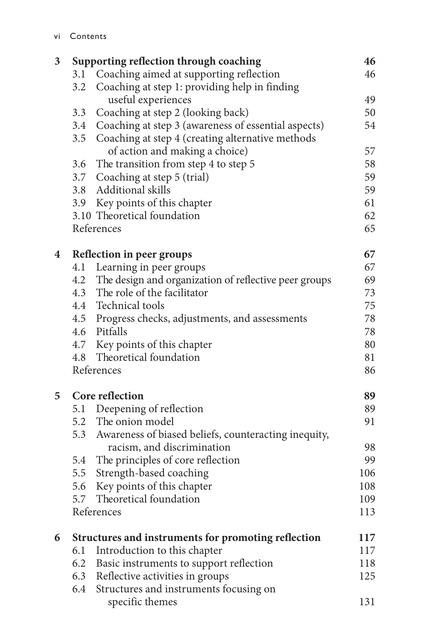| 3 |            | Supporting reflection through coaching                    | 46  |
|---|------------|-----------------------------------------------------------|-----|
|   | 3.1        | Coaching aimed at supporting reflection                   | 46  |
|   | 3.2        | Coaching at step 1: providing help in finding             |     |
|   |            | useful experiences                                        | 49  |
|   | 3.3        | Coaching at step 2 (looking back)                         | 50  |
|   |            | 3.4 Coaching at step 3 (awareness of essential aspects)   | 54  |
|   |            | 3.5 Coaching at step 4 (creating alternative methods      |     |
|   |            | of action and making a choice)                            | 57  |
|   |            | 3.6 The transition from step 4 to step 5                  | 58  |
|   |            | 3.7 Coaching at step 5 (trial)                            | 59  |
|   |            | 3.8 Additional skills                                     | 59  |
|   |            | 3.9 Key points of this chapter                            | 61  |
|   |            | 3.10 Theoretical foundation                               | 62  |
|   |            | References                                                | 65  |
| 4 |            | Reflection in peer groups                                 | 67  |
|   |            | 4.1 Learning in peer groups                               | 67  |
|   |            | 4.2 The design and organization of reflective peer groups | 69  |
|   |            | 4.3 The role of the facilitator                           | 73  |
|   |            | 4.4 Technical tools                                       | 75  |
|   |            | 4.5 Progress checks, adjustments, and assessments         | 78  |
|   |            | 4.6 Pitfalls                                              | 78  |
|   |            | 4.7 Key points of this chapter                            | 80  |
|   |            | 4.8 Theoretical foundation                                | 81  |
|   | References |                                                           | 86  |
| 5 |            | Core reflection                                           | 89  |
|   |            | 5.1 Deepening of reflection                               | 89  |
|   |            | 5.2 The onion model                                       | 91  |
|   |            | 5.3 Awareness of biased beliefs, counteracting inequity,  |     |
|   |            | racism, and discrimination                                | 98  |
|   | 5.4        | The principles of core reflection                         | 99  |
|   | 5.5        | Strength-based coaching                                   | 106 |
|   | 5.6        | Key points of this chapter                                | 108 |
|   |            | 5.7 Theoretical foundation                                | 109 |
|   |            | References                                                | 113 |
| 6 |            | Structures and instruments for promoting reflection       | 117 |
|   | 6.1        | Introduction to this chapter                              | 117 |
|   | 6.2        | Basic instruments to support reflection                   | 118 |
|   |            | 6.3 Reflective activities in groups                       | 125 |
|   | 6.4        | Structures and instruments focusing on                    |     |
|   |            | specific themes                                           | 131 |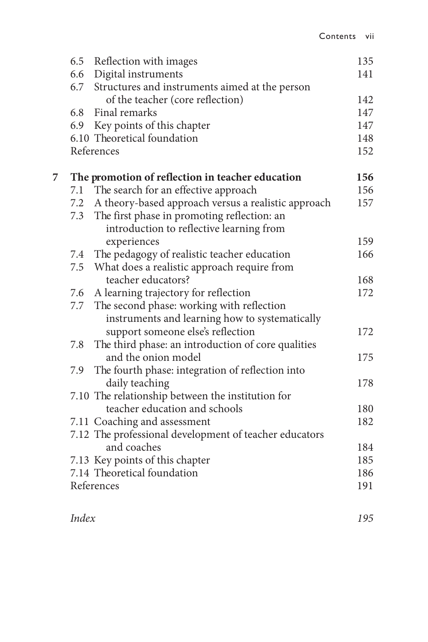|   |     | 6.5 Reflection with images                              | 135 |
|---|-----|---------------------------------------------------------|-----|
|   |     | 6.6 Digital instruments                                 | 141 |
|   |     | 6.7 Structures and instruments aimed at the person      |     |
|   |     | of the teacher (core reflection)                        | 142 |
|   | 6.8 | Final remarks                                           | 147 |
|   |     | 6.9 Key points of this chapter                          | 147 |
|   |     | 6.10 Theoretical foundation                             | 148 |
|   |     | References                                              | 152 |
| 7 |     | The promotion of reflection in teacher education        | 156 |
|   |     | 7.1 The search for an effective approach                | 156 |
|   |     | 7.2 A theory-based approach versus a realistic approach | 157 |
|   | 7.3 | The first phase in promoting reflection: an             |     |
|   |     | introduction to reflective learning from                |     |
|   |     | experiences                                             | 159 |
|   |     | 7.4 The pedagogy of realistic teacher education         | 166 |
|   |     | 7.5 What does a realistic approach require from         |     |
|   |     | teacher educators?                                      | 168 |
|   | 7.6 | A learning trajectory for reflection                    | 172 |
|   |     | 7.7 The second phase: working with reflection           |     |
|   |     | instruments and learning how to systematically          |     |
|   |     | support someone else's reflection                       | 172 |
|   |     | 7.8 The third phase: an introduction of core qualities  |     |
|   |     | and the onion model                                     | 175 |
|   | 7.9 | The fourth phase: integration of reflection into        |     |
|   |     | daily teaching                                          | 178 |
|   |     | 7.10 The relationship between the institution for       |     |
|   |     | teacher education and schools                           | 180 |
|   |     | 7.11 Coaching and assessment                            | 182 |
|   |     | 7.12 The professional development of teacher educators  |     |
|   |     | and coaches                                             | 184 |
|   |     | 7.13 Key points of this chapter                         | 185 |
|   |     | 7.14 Theoretical foundation                             | 186 |
|   |     | References                                              | 191 |
|   |     |                                                         |     |

*Index 195*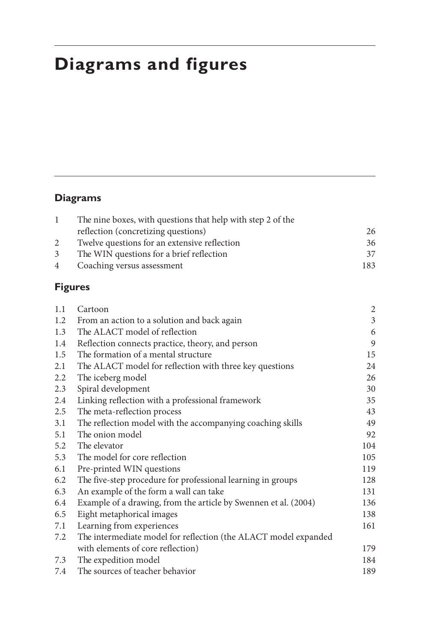# **Diagrams and figures**

#### **Diagrams**

|             | The nine boxes, with questions that help with step 2 of the |     |
|-------------|-------------------------------------------------------------|-----|
|             | reflection (concretizing questions)                         | 26  |
|             | Twelve questions for an extensive reflection                | 36  |
| 3           | The WIN questions for a brief reflection                    | 37  |
| $4^{\circ}$ | Coaching versus assessment                                  | 183 |

#### **Figures**

| 1.1 | Cartoon                                                         | 2                           |
|-----|-----------------------------------------------------------------|-----------------------------|
| 1.2 | From an action to a solution and back again                     | $\ensuremath{\mathfrak{Z}}$ |
| 1.3 | The ALACT model of reflection                                   | 6                           |
| 1.4 | Reflection connects practice, theory, and person                | 9                           |
| 1.5 | The formation of a mental structure                             | 15                          |
| 2.1 | The ALACT model for reflection with three key questions         | 24                          |
| 2.2 | The iceberg model                                               | 26                          |
| 2.3 | Spiral development                                              | 30                          |
| 2.4 | Linking reflection with a professional framework                | 35                          |
| 2.5 | The meta-reflection process                                     | 43                          |
| 3.1 | The reflection model with the accompanying coaching skills      | 49                          |
| 5.1 | The onion model                                                 | 92                          |
| 5.2 | The elevator                                                    | 104                         |
| 5.3 | The model for core reflection                                   | 105                         |
| 6.1 | Pre-printed WIN questions                                       | 119                         |
| 6.2 | The five-step procedure for professional learning in groups     | 128                         |
| 6.3 | An example of the form a wall can take                          | 131                         |
| 6.4 | Example of a drawing, from the article by Swennen et al. (2004) | 136                         |
| 6.5 | Eight metaphorical images                                       | 138                         |
| 7.1 | Learning from experiences                                       | 161                         |
| 7.2 | The intermediate model for reflection (the ALACT model expanded |                             |
|     | with elements of core reflection)                               | 179                         |
| 7.3 | The expedition model                                            | 184                         |
| 7.4 | The sources of teacher behavior                                 | 189                         |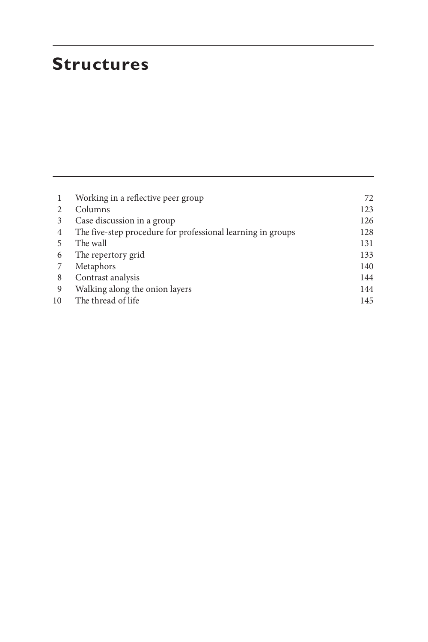### **Structures**

|    | Working in a reflective peer group                          | 72. |
|----|-------------------------------------------------------------|-----|
|    | Columns                                                     | 123 |
| 3  | Case discussion in a group                                  | 126 |
| 4  | The five-step procedure for professional learning in groups | 128 |
| 5  | The wall                                                    | 131 |
| 6  | The repertory grid                                          | 133 |
|    | Metaphors                                                   | 140 |
| 8  | Contrast analysis                                           | 144 |
| 9  | Walking along the onion layers                              | 144 |
| 10 | The thread of life                                          | 145 |
|    |                                                             |     |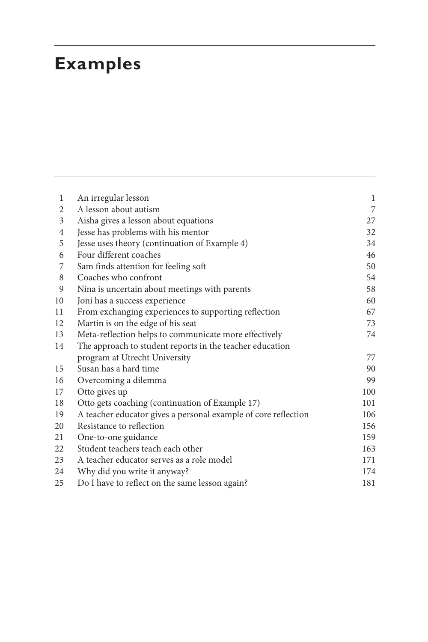## **Examples**

| 1              | An irregular lesson                                            | $\mathbf 1$ |
|----------------|----------------------------------------------------------------|-------------|
| 2              | A lesson about autism                                          | 7           |
| 3              | Aisha gives a lesson about equations                           | 27          |
| $\overline{4}$ | Jesse has problems with his mentor                             | 32          |
| 5              | Jesse uses theory (continuation of Example 4)                  | 34          |
| 6              | Four different coaches                                         | 46          |
| 7              | Sam finds attention for feeling soft                           | 50          |
| 8              | Coaches who confront                                           | 54          |
| 9              | Nina is uncertain about meetings with parents                  | 58          |
| 10             | Joni has a success experience                                  | 60          |
| 11             | From exchanging experiences to supporting reflection           | 67          |
| 12             | Martin is on the edge of his seat                              | 73          |
| 13             | Meta-reflection helps to communicate more effectively          | 74          |
| 14             | The approach to student reports in the teacher education       |             |
|                | program at Utrecht University                                  | 77          |
| 15             | Susan has a hard time                                          | 90          |
| 16             | Overcoming a dilemma                                           | 99          |
| 17             | Otto gives up                                                  | 100         |
| 18             | Otto gets coaching (continuation of Example 17)                | 101         |
| 19             | A teacher educator gives a personal example of core reflection | 106         |
| 20             | Resistance to reflection                                       | 156         |
| 21             | One-to-one guidance                                            | 159         |
| 22             | Student teachers teach each other                              | 163         |
| 23             | A teacher educator serves as a role model                      | 171         |
| 24             | Why did you write it anyway?                                   | 174         |
| 25             | Do I have to reflect on the same lesson again?                 | 181         |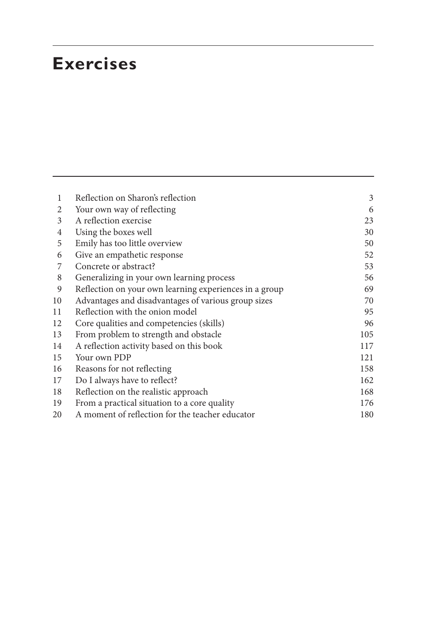### **Exercises**

| 1  | Reflection on Sharon's reflection                      | 3   |
|----|--------------------------------------------------------|-----|
| 2  | Your own way of reflecting                             | 6   |
| 3  | A reflection exercise                                  | 23  |
| 4  | Using the boxes well                                   | 30  |
| 5  | Emily has too little overview                          | 50  |
| 6  | Give an empathetic response                            | 52  |
| 7  | Concrete or abstract?                                  | 53  |
| 8  | Generalizing in your own learning process              | 56  |
| 9  | Reflection on your own learning experiences in a group | 69  |
| 10 | Advantages and disadvantages of various group sizes    | 70  |
| 11 | Reflection with the onion model                        | 95  |
| 12 | Core qualities and competencies (skills)               | 96  |
| 13 | From problem to strength and obstacle                  | 105 |
| 14 | A reflection activity based on this book               | 117 |
| 15 | Your own PDP                                           | 121 |
| 16 | Reasons for not reflecting                             | 158 |
| 17 | Do I always have to reflect?                           | 162 |
| 18 | Reflection on the realistic approach                   | 168 |
| 19 | From a practical situation to a core quality           | 176 |
| 20 | A moment of reflection for the teacher educator        | 180 |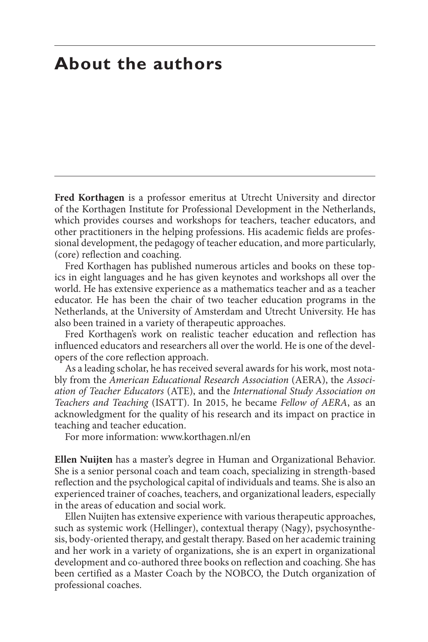### **About the authors**

**Fred Korthagen** is a professor emeritus at Utrecht University and director of the Korthagen Institute for Professional Development in the Netherlands, which provides courses and workshops for teachers, teacher educators, and other practitioners in the helping professions. His academic fields are professional development, the pedagogy of teacher education, and more particularly, (core) reflection and coaching.

Fred Korthagen has published numerous articles and books on these topics in eight languages and he has given keynotes and workshops all over the world. He has extensive experience as a mathematics teacher and as a teacher educator. He has been the chair of two teacher education programs in the Netherlands, at the University of Amsterdam and Utrecht University. He has also been trained in a variety of therapeutic approaches.

Fred Korthagen's work on realistic teacher education and reflection has influenced educators and researchers all over the world. He is one of the developers of the core reflection approach.

As a leading scholar, he has received several awards for his work, most notably from the *American Educational Research Association* (AERA), the *Association of Teacher Educators* (ATE), and the *International Study Association on Teachers and Teaching* (ISATT). In 2015, he became *Fellow of AERA*, as an acknowledgment for the quality of his research and its impact on practice in teaching and teacher education.

For more information: www.korthagen.nl/en

**Ellen Nuijten** has a master's degree in Human and Organizational Behavior. She is a senior personal coach and team coach, specializing in strength-based reflection and the psychological capital of individuals and teams. She is also an experienced trainer of coaches, teachers, and organizational leaders, especially in the areas of education and social work.

Ellen Nuijten has extensive experience with various therapeutic approaches, such as systemic work (Hellinger), contextual therapy (Nagy), psychosynthesis, body-oriented therapy, and gestalt therapy. Based on her academic training and her work in a variety of organizations, she is an expert in organizational development and co-authored three books on reflection and coaching. She has been certified as a Master Coach by the NOBCO, the Dutch organization of professional coaches.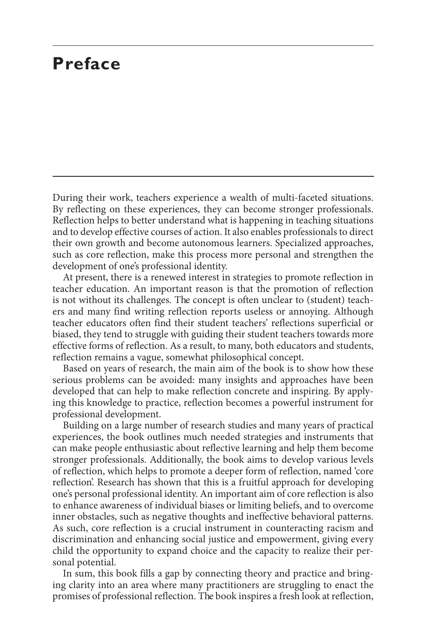### **Preface**

During their work, teachers experience a wealth of multi-faceted situations. By reflecting on these experiences, they can become stronger professionals. Reflection helps to better understand what is happening in teaching situations and to develop effective courses of action. It also enables professionals to direct their own growth and become autonomous learners. Specialized approaches, such as core reflection, make this process more personal and strengthen the development of one's professional identity.

At present, there is a renewed interest in strategies to promote reflection in teacher education. An important reason is that the promotion of reflection is not without its challenges. The concept is often unclear to (student) teachers and many find writing reflection reports useless or annoying. Although teacher educators often find their student teachers' reflections superficial or biased, they tend to struggle with guiding their student teachers towards more effective forms of reflection. As a result, to many, both educators and students, reflection remains a vague, somewhat philosophical concept.

Based on years of research, the main aim of the book is to show how these serious problems can be avoided: many insights and approaches have been developed that can help to make reflection concrete and inspiring. By applying this knowledge to practice, reflection becomes a powerful instrument for professional development.

Building on a large number of research studies and many years of practical experiences, the book outlines much needed strategies and instruments that can make people enthusiastic about reflective learning and help them become stronger professionals. Additionally, the book aims to develop various levels of reflection, which helps to promote a deeper form of reflection, named 'core reflection'. Research has shown that this is a fruitful approach for developing one's personal professional identity. An important aim of core reflection is also to enhance awareness of individual biases or limiting beliefs, and to overcome inner obstacles, such as negative thoughts and ineffective behavioral patterns. As such, core reflection is a crucial instrument in counteracting racism and discrimination and enhancing social justice and empowerment, giving every child the opportunity to expand choice and the capacity to realize their personal potential.

In sum, this book fills a gap by connecting theory and practice and bringing clarity into an area where many practitioners are struggling to enact the promises of professional reflection. The book inspires a fresh look at reflection,